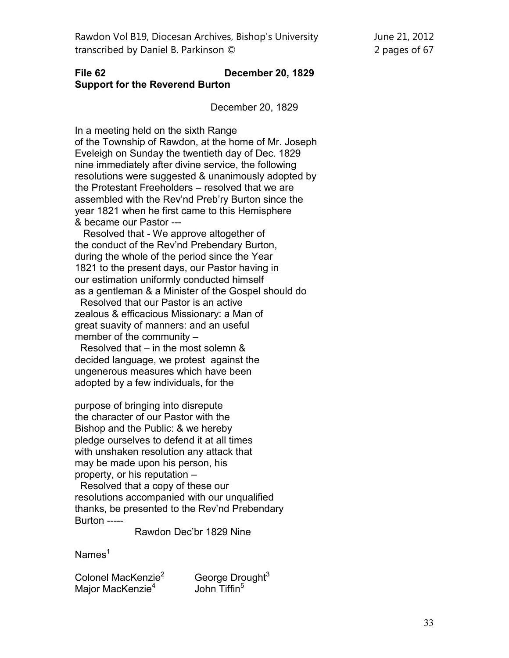## **File 62 December 20, 1829 Support for the Reverend Burton**

December 20, 1829

In a meeting held on the sixth Range of the Township of Rawdon, at the home of Mr. Joseph Eveleigh on Sunday the twentieth day of Dec. 1829 nine immediately after divine service, the following resolutions were suggested & unanimously adopted by the Protestant Freeholders – resolved that we are assembled with the Rev'nd Preb'ry Burton since the year 1821 when he first came to this Hemisphere & became our Pastor ---

 Resolved that - We approve altogether of the conduct of the Rev'nd Prebendary Burton, during the whole of the period since the Year 1821 to the present days, our Pastor having in our estimation uniformly conducted himself as a gentleman & a Minister of the Gospel should do

 Resolved that our Pastor is an active zealous & efficacious Missionary: a Man of great suavity of manners: and an useful member of the community –

 Resolved that – in the most solemn & decided language, we protest against the ungenerous measures which have been adopted by a few individuals, for the

purpose of bringing into disrepute the character of our Pastor with the Bishop and the Public: & we hereby pledge ourselves to defend it at all times with unshaken resolution any attack that may be made upon his person, his property, or his reputation –

 Resolved that a copy of these our resolutions accompanied with our unqualified thanks, be presented to the Rev'nd Prebendary Burton -----

Rawdon Dec'br 1829 Nine

 $Names<sup>1</sup>$ 

Colonel MacKenzie<sup>2</sup> George Drought<sup>3</sup> Major MacKenzie<sup>4</sup>

John Tiffin<sup>5</sup>